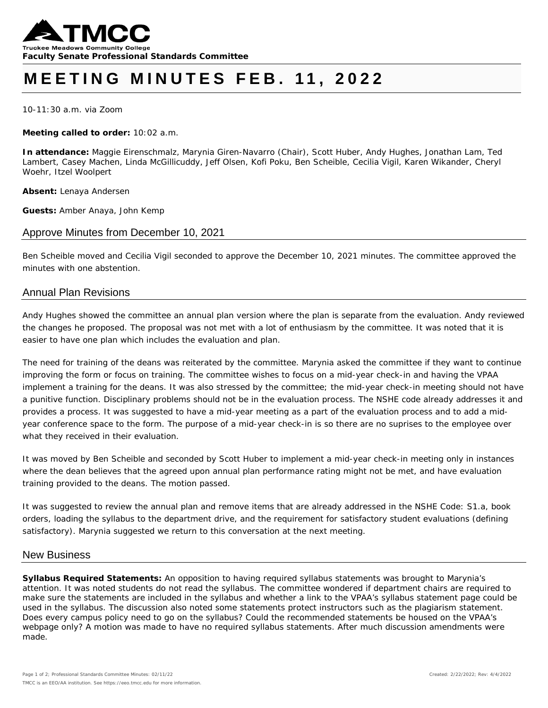

# **MEETING MINUTES FEB. 11, 2022**

10-11:30 a.m. via Zoom

**Meeting called to order:** 10:02 a.m.

**In attendance:** Maggie Eirenschmalz, Marynia Giren-Navarro (Chair), Scott Huber, Andy Hughes, Jonathan Lam, Ted Lambert, Casey Machen, Linda McGillicuddy, Jeff Olsen, Kofi Poku, Ben Scheible, Cecilia Vigil, Karen Wikander, Cheryl Woehr, Itzel Woolpert

**Absent:** Lenaya Andersen

**Guests:** Amber Anaya, John Kemp

### Approve Minutes from December 10, 2021

*Ben Scheible moved and Cecilia Vigil seconded to approve the December 10, 2021 minutes. The committee approved the minutes with one abstention.* 

#### Annual Plan Revisions

Andy Hughes showed the committee an annual plan version where the plan is separate from the evaluation. Andy reviewed the changes he proposed. The proposal was not met with a lot of enthusiasm by the committee. It was noted that it is easier to have one plan which includes the evaluation and plan.

The need for training of the deans was reiterated by the committee. Marynia asked the committee if they want to continue improving the form or focus on training. The committee wishes to focus on a mid-year check-in and having the VPAA implement a training for the deans. It was also stressed by the committee; the mid-year check-in meeting should not have a punitive function. Disciplinary problems should not be in the evaluation process. The NSHE code already addresses it and provides a process. It was suggested to have a mid-year meeting as a part of the evaluation process and to add a midyear conference space to the form. The purpose of a mid-year check-in is so there are no suprises to the employee over what they received in their evaluation.

*It was moved by Ben Scheible and seconded by Scott Huber to implement a mid-year check-in meeting only in instances where the dean believes that the agreed upon annual plan performance rating might not be met, and have evaluation training provided to the deans. The motion passed.* 

It was suggested to review the annual plan and remove items that are already addressed in the NSHE Code: S1.a, book orders, loading the syllabus to the department drive, and the requirement for satisfactory student evaluations (defining satisfactory). Marynia suggested we return to this conversation at the next meeting.

#### New Business

**Syllabus Required Statements:** An opposition to having required syllabus statements was brought to Marynia's attention. It was noted students do not read the syllabus. The committee wondered if department chairs are required to make sure the statements are included in the syllabus and whether a link to the VPAA's syllabus statement page could be used in the syllabus. The discussion also noted some statements protect instructors such as the plagiarism statement. Does every campus policy need to go on the syllabus? Could the recommended statements be housed on the VPAA's webpage only? A motion was made to have no required syllabus statements. After much discussion amendments were made.